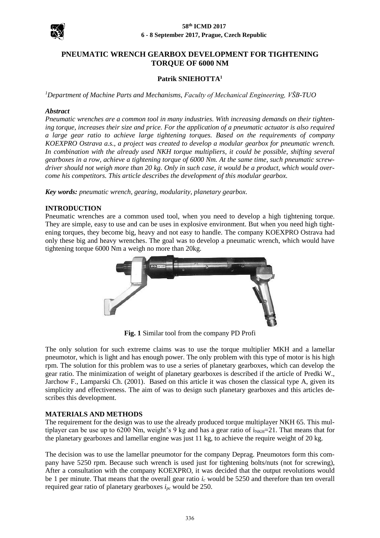

#### **58th ICMD 2017 6 - 8 September 2017, Prague, Czech Republic**

# **PNEUMATIC WRENCH GEARBOX DEVELOPMENT FOR TIGHTENING TORQUE OF 6000 NM**

## **Patrik SNIEHOTTA<sup>1</sup>**

*<sup>1</sup>Department of Machine Parts and Mechanisms, Faculty of Mechanical Engineering, VŠB-TUO*

#### *Abstract*

*Pneumatic wrenches are a common tool in many industries. With increasing demands on their tightening torque, increases their size and price. For the application of a pneumatic actuator is also required a large gear ratio to achieve large tightening torques. Based on the requirements of company KOEXPRO Ostrava a.s., a project was created to develop a modular gearbox for pneumatic wrench. In combination with the already used NKH torque multipliers, it could be possible, shifting several gearboxes in a row, achieve a tightening torque of 6000 Nm. At the same time, such pneumatic screwdriver should not weigh more than 20 kg. Only in such case, it would be a product, which would overcome his competitors. This article describes the development of this modular gearbox.*

*Key words: pneumatic wrench, gearing, modularity, planetary gearbox.*

#### **INTRODUCTION**

Pneumatic wrenches are a common used tool, when you need to develop a high tightening torque. They are simple, easy to use and can be uses in explosive environment. But when you need high tightening torques, they become big, heavy and not easy to handle. The company KOEXPRO Ostrava had only these big and heavy wrenches. The goal was to develop a pneumatic wrench, which would have tightening torque 6000 Nm a weigh no more than 20kg.



**Fig. 1** Similar tool from the company PD Profi

The only solution for such extreme claims was to use the torque multiplier MKH and a lamellar pneumotor, which is light and has enough power. The only problem with this type of motor is his high rpm. The solution for this problem was to use a series of planetary gearboxes, which can develop the gear ratio. The minimization of weight of planetary gearboxes is described if the article of Predki W., Jarchow F., Lamparski Ch. (2001). Based on this article it was chosen the classical type A, given its simplicity and effectiveness. The aim of was to design such planetary gearboxes and this articles describes this development.

## **MATERIALS AND METHODS**

The requirement for the design was to use the already produced torque multiplayer NKH 65. This multiplayer can be use up to 6200 Nm, weight's 9 kg and has a gear ratio of  $i_{NKH}=21$ . That means that for the planetary gearboxes and lamellar engine was just 11 kg, to achieve the require weight of 20 kg.

The decision was to use the lamellar pneumotor for the company Deprag. Pneumotors form this company have 5250 rpm. Because such wrench is used just for tightening bolts/nuts (not for screwing), After a consultation with the company KOEXPRO, it was decided that the output revolutions would be 1 per minute. That means that the overall gear ratio  $i_c$  would be 5250 and therefore than ten overall required gear ratio of planetary gearboxes *ipc* would be 250.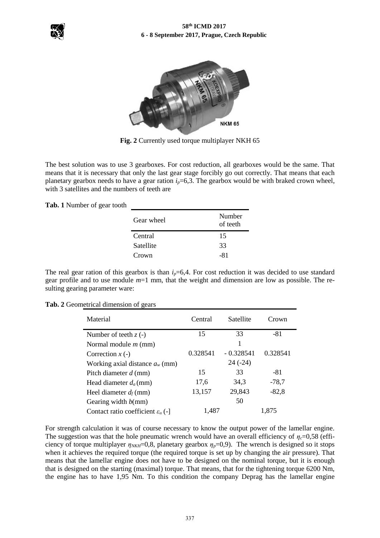



**Fig. 2** Currently used torque multiplayer NKH 65

The best solution was to use 3 gearboxes. For cost reduction, all gearboxes would be the same. That means that it is necessary that only the last gear stage forcibly go out correctly. That means that each planetary gearbox needs to have a gear ration  $i_p$ =6,3. The gearbox would be with braked crown wheel, with 3 satellites and the numbers of teeth are

**Tab. 1** Number of gear tooth

| Gear wheel | Number<br>of teeth |
|------------|--------------------|
| Central    | 15                 |
| Satellite  | 33                 |
| Crown      | -81                |

The real gear ration of this gearbox is than  $i_p=6,4$ . For cost reduction it was decided to use standard gear profile and to use module *m*=1 mm, that the weight and dimension are low as possible. The resulting gearing parameter ware:

**Tab. 2** Geometrical dimension of gears

| Material                                             | Satellite<br>Central |             | Crown    |
|------------------------------------------------------|----------------------|-------------|----------|
| Number of teeth $z(-)$                               | 15                   | 33          | $-81$    |
| Normal module $m$ (mm)                               |                      | 1           |          |
| Correction $x$ (-)                                   | 0.328541             | $-0.328541$ | 0.328541 |
| Working axial distance $a_w$ (mm)                    |                      | $24(-24)$   |          |
| Pitch diameter $d$ (mm)                              | 15                   | 33          | $-81$    |
| Head diameter $d_a$ (mm)                             | 17,6                 | 34.3        | $-78,7$  |
| Heel diameter $d_f$ (mm)                             | 13,157               | 29,843      | $-82,8$  |
| Gearing width $b$ (mm)                               |                      | 50          |          |
| Contact ratio coefficient $\varepsilon_{\alpha}$ (-) | 1,487                |             | 1.875    |

For strength calculation it was of course necessary to know the output power of the lamellar engine. The suggestion was that the hole pneumatic wrench would have an overall efficiency of  $\eta_c$ =0,58 (efficiency of torque multiplayer  $\eta_{NKH}=0.8$ , planetary gearbox  $\eta_p=0.9$ ). The wrench is designed so it stops when it achieves the required torque (the required torque is set up by changing the air pressure). That means that the lamellar engine does not have to be designed on the nominal torque, but it is enough that is designed on the starting (maximal) torque. That means, that for the tightening torque 6200 Nm, the engine has to have 1,95 Nm. To this condition the company Deprag has the lamellar engine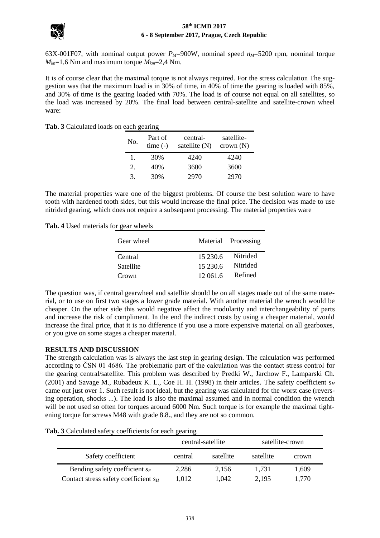

#### **58th ICMD 2017 6 - 8 September 2017, Prague, Czech Republic**

63X-001F07, with nominal output power *PM*=900W, nominal speed *nM*=5200 rpm, nominal torque  $M_{kn}$ =1,6 Nm and maximum torque  $M_{km}$ =2,4 Nm.

It is of course clear that the maximal torque is not always required. For the stress calculation The suggestion was that the maximum load is in 30% of time, in 40% of time the gearing is loaded with 85%, and 30% of time is the gearing loaded with 70%. The load is of course not equal on all satellites, so the load was increased by 20%. The final load between central-satellite and satellite-crown wheel ware:

|  | Tab. 3 Calculated loads on each gearing |  |  |  |
|--|-----------------------------------------|--|--|--|
|--|-----------------------------------------|--|--|--|

| No. | Part of<br>$time(-)$ | central-<br>satellite $(N)$ | satellite-<br>crown(N) |
|-----|----------------------|-----------------------------|------------------------|
| L.  | 30%                  | 4240                        | 4240                   |
| 2.  | 40%                  | 3600                        | 3600                   |
| 3.  | 30%                  | 2970                        | 2970                   |

The material properties ware one of the biggest problems. Of course the best solution ware to have tooth with hardened tooth sides, but this would increase the final price. The decision was made to use nitrided gearing, which does not require a subsequent processing. The material properties ware

**Tab. 4** Used materials for gear wheels

| Gear wheel |          | Material Processing |
|------------|----------|---------------------|
| Central    | 15 230.6 | Nitrided            |
| Satellite  | 15 230.6 | Nitrided            |
| Crown      | 12 061.6 | Refined             |

The question was, if central gearwheel and satellite should be on all stages made out of the same material, or to use on first two stages a lower grade material. With another material the wrench would be cheaper. On the other side this would negative affect the modularity and interchangeability of parts and increase the risk of compliment. In the end the indirect costs by using a cheaper material, would increase the final price, that it is no difference if you use a more expensive material on all gearboxes, or you give on some stages a cheaper material.

## **RESULTS AND DISCUSSION**

The strength calculation was is always the last step in gearing design. The calculation was performed according to ČSN 01 4686. The problematic part of the calculation was the contact stress control for the gearing central/satellite. This problem was described by Predki W., Jarchow F., Lamparski Ch. (2001) and Savage M., Rubadeux K. L., Coe H. H. (1998) in their articles. The safety coefficient  $s_H$ came out just over 1. Such result is not ideal, but the gearing was calculated for the worst case (reversing operation, shocks ...). The load is also the maximal assumed and in normal condition the wrench will be not used so often for torques around 6000 Nm. Such torque is for example the maximal tightening torque for screws M48 with grade 8.8., and they are not so common.

| Tab. 3 Calculated safety coefficients for each gearing |  |  |
|--------------------------------------------------------|--|--|
|--------------------------------------------------------|--|--|

|                                         | central-satellite |           | satellite-crown |       |
|-----------------------------------------|-------------------|-----------|-----------------|-------|
| Safety coefficient                      | central           | satellite | satellite       | crown |
| Bending safety coefficient $s_F$        | 2,286             | 2.156     | 1,731           | 1,609 |
| Contact stress safety coefficient $s_H$ | 1.012             | 1.042     | 2.195           | 1,770 |